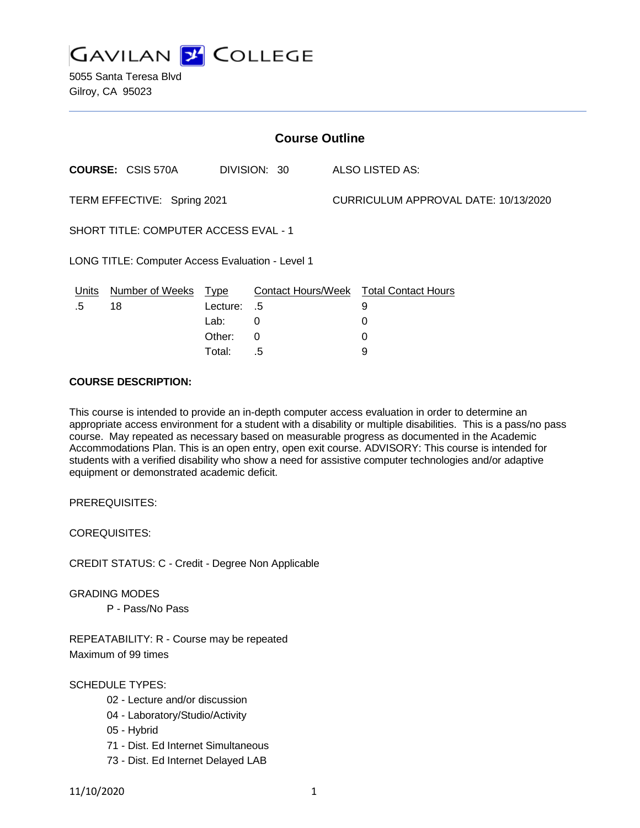**GAVILAN 2 COLLEGE** 

5055 Santa Teresa Blvd Gilroy, CA 95023

| <b>Course Outline</b>                            |                          |          |              |  |                                        |  |
|--------------------------------------------------|--------------------------|----------|--------------|--|----------------------------------------|--|
|                                                  | <b>COURSE: CSIS 570A</b> |          | DIVISION: 30 |  | ALSO LISTED AS:                        |  |
| TERM EFFECTIVE: Spring 2021                      |                          |          |              |  | CURRICULUM APPROVAL DATE: 10/13/2020   |  |
| <b>SHORT TITLE: COMPUTER ACCESS EVAL - 1</b>     |                          |          |              |  |                                        |  |
| LONG TITLE: Computer Access Evaluation - Level 1 |                          |          |              |  |                                        |  |
| Units                                            | Number of Weeks Type     |          |              |  | Contact Hours/Week Total Contact Hours |  |
| .5                                               | 18                       | Lecture: | .5           |  | 9                                      |  |
|                                                  |                          | Lab:     | $\Omega$     |  | 0                                      |  |
|                                                  |                          | Other:   | 0            |  | 0                                      |  |
|                                                  |                          | Total:   | .5           |  | 9                                      |  |

#### **COURSE DESCRIPTION:**

This course is intended to provide an in-depth computer access evaluation in order to determine an appropriate access environment for a student with a disability or multiple disabilities. This is a pass/no pass course. May repeated as necessary based on measurable progress as documented in the Academic Accommodations Plan. This is an open entry, open exit course. ADVISORY: This course is intended for students with a verified disability who show a need for assistive computer technologies and/or adaptive equipment or demonstrated academic deficit.

PREREQUISITES:

COREQUISITES:

CREDIT STATUS: C - Credit - Degree Non Applicable

GRADING MODES

P - Pass/No Pass

REPEATABILITY: R - Course may be repeated Maximum of 99 times

### SCHEDULE TYPES:

- 02 Lecture and/or discussion
- 04 Laboratory/Studio/Activity
- 05 Hybrid
- 71 Dist. Ed Internet Simultaneous
- 73 Dist. Ed Internet Delayed LAB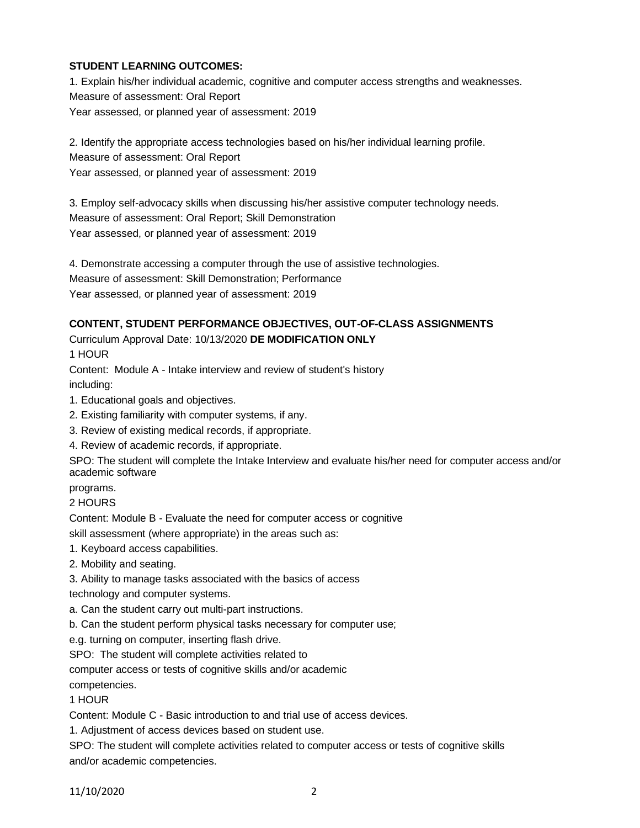### **STUDENT LEARNING OUTCOMES:**

1. Explain his/her individual academic, cognitive and computer access strengths and weaknesses. Measure of assessment: Oral Report Year assessed, or planned year of assessment: 2019

2. Identify the appropriate access technologies based on his/her individual learning profile. Measure of assessment: Oral Report

Year assessed, or planned year of assessment: 2019

3. Employ self-advocacy skills when discussing his/her assistive computer technology needs. Measure of assessment: Oral Report; Skill Demonstration Year assessed, or planned year of assessment: 2019

4. Demonstrate accessing a computer through the use of assistive technologies.

Measure of assessment: Skill Demonstration; Performance

Year assessed, or planned year of assessment: 2019

# **CONTENT, STUDENT PERFORMANCE OBJECTIVES, OUT-OF-CLASS ASSIGNMENTS**

Curriculum Approval Date: 10/13/2020 **DE MODIFICATION ONLY**

1 HOUR

Content: Module A - Intake interview and review of student's history including:

1. Educational goals and objectives.

- 2. Existing familiarity with computer systems, if any.
- 3. Review of existing medical records, if appropriate.

4. Review of academic records, if appropriate.

SPO: The student will complete the Intake Interview and evaluate his/her need for computer access and/or academic software

programs.

2 HOURS

Content: Module B - Evaluate the need for computer access or cognitive

skill assessment (where appropriate) in the areas such as:

1. Keyboard access capabilities.

2. Mobility and seating.

3. Ability to manage tasks associated with the basics of access

technology and computer systems.

a. Can the student carry out multi-part instructions.

b. Can the student perform physical tasks necessary for computer use;

e.g. turning on computer, inserting flash drive.

SPO: The student will complete activities related to

computer access or tests of cognitive skills and/or academic

competencies.

1 HOUR

Content: Module C - Basic introduction to and trial use of access devices.

1. Adjustment of access devices based on student use.

SPO: The student will complete activities related to computer access or tests of cognitive skills and/or academic competencies.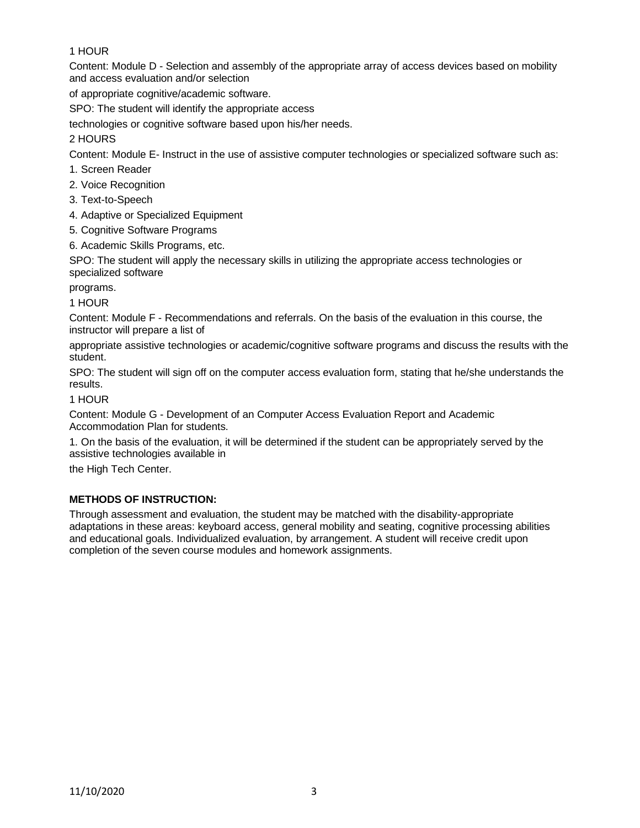## 1 HOUR

Content: Module D - Selection and assembly of the appropriate array of access devices based on mobility and access evaluation and/or selection

of appropriate cognitive/academic software.

SPO: The student will identify the appropriate access

technologies or cognitive software based upon his/her needs.

## 2 HOURS

Content: Module E- Instruct in the use of assistive computer technologies or specialized software such as:

- 1. Screen Reader
- 2. Voice Recognition
- 3. Text-to-Speech
- 4. Adaptive or Specialized Equipment
- 5. Cognitive Software Programs
- 6. Academic Skills Programs, etc.

SPO: The student will apply the necessary skills in utilizing the appropriate access technologies or specialized software

programs.

1 HOUR

Content: Module F - Recommendations and referrals. On the basis of the evaluation in this course, the instructor will prepare a list of

appropriate assistive technologies or academic/cognitive software programs and discuss the results with the student.

SPO: The student will sign off on the computer access evaluation form, stating that he/she understands the results.

### 1 HOUR

Content: Module G - Development of an Computer Access Evaluation Report and Academic Accommodation Plan for students.

1. On the basis of the evaluation, it will be determined if the student can be appropriately served by the assistive technologies available in

the High Tech Center.

## **METHODS OF INSTRUCTION:**

Through assessment and evaluation, the student may be matched with the disability-appropriate adaptations in these areas: keyboard access, general mobility and seating, cognitive processing abilities and educational goals. Individualized evaluation, by arrangement. A student will receive credit upon completion of the seven course modules and homework assignments.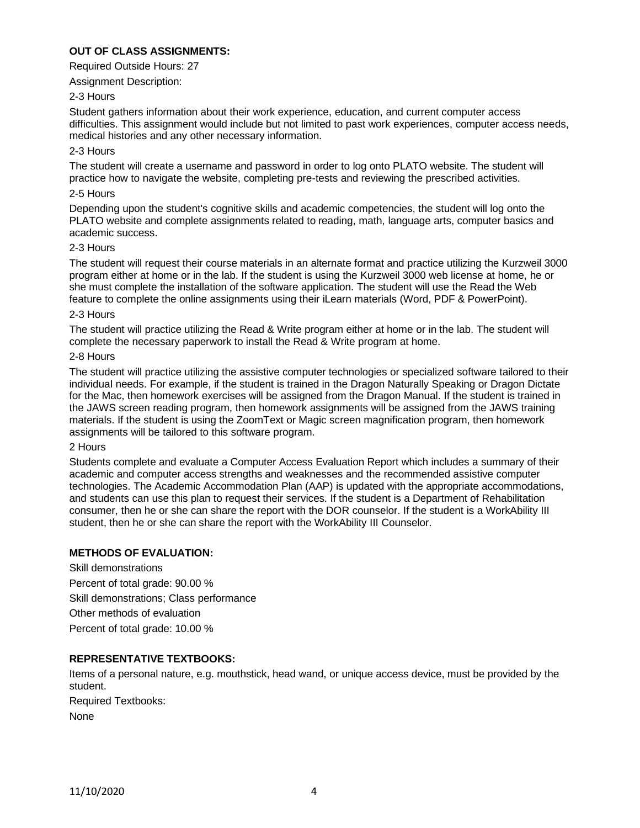### **OUT OF CLASS ASSIGNMENTS:**

Required Outside Hours: 27

Assignment Description:

#### 2-3 Hours

Student gathers information about their work experience, education, and current computer access difficulties. This assignment would include but not limited to past work experiences, computer access needs, medical histories and any other necessary information.

#### 2-3 Hours

The student will create a username and password in order to log onto PLATO website. The student will practice how to navigate the website, completing pre-tests and reviewing the prescribed activities.

#### 2-5 Hours

Depending upon the student's cognitive skills and academic competencies, the student will log onto the PLATO website and complete assignments related to reading, math, language arts, computer basics and academic success.

#### 2-3 Hours

The student will request their course materials in an alternate format and practice utilizing the Kurzweil 3000 program either at home or in the lab. If the student is using the Kurzweil 3000 web license at home, he or she must complete the installation of the software application. The student will use the Read the Web feature to complete the online assignments using their iLearn materials (Word, PDF & PowerPoint).

#### 2-3 Hours

The student will practice utilizing the Read & Write program either at home or in the lab. The student will complete the necessary paperwork to install the Read & Write program at home.

#### 2-8 Hours

The student will practice utilizing the assistive computer technologies or specialized software tailored to their individual needs. For example, if the student is trained in the Dragon Naturally Speaking or Dragon Dictate for the Mac, then homework exercises will be assigned from the Dragon Manual. If the student is trained in the JAWS screen reading program, then homework assignments will be assigned from the JAWS training materials. If the student is using the ZoomText or Magic screen magnification program, then homework assignments will be tailored to this software program.

#### 2 Hours

Students complete and evaluate a Computer Access Evaluation Report which includes a summary of their academic and computer access strengths and weaknesses and the recommended assistive computer technologies. The Academic Accommodation Plan (AAP) is updated with the appropriate accommodations, and students can use this plan to request their services. If the student is a Department of Rehabilitation consumer, then he or she can share the report with the DOR counselor. If the student is a WorkAbility III student, then he or she can share the report with the WorkAbility III Counselor.

#### **METHODS OF EVALUATION:**

Skill demonstrations Percent of total grade: 90.00 % Skill demonstrations; Class performance Other methods of evaluation Percent of total grade: 10.00 %

#### **REPRESENTATIVE TEXTBOOKS:**

Items of a personal nature, e.g. mouthstick, head wand, or unique access device, must be provided by the student. Required Textbooks: None